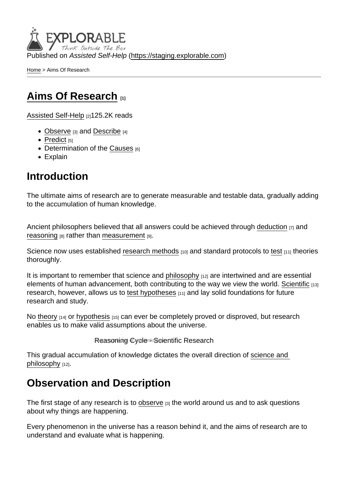Published on Assisted Self-Help [\(https://staging.explorable.com](https://staging.explorable.com))

[Home](https://staging.explorable.com/en) > Aims Of Research

#### [Aims Of Research](https://staging.explorable.com/en/aims-of-research) [1]

[Assisted Self-Help](https://staging.explorable.com/en) [2]125.2K reads

- [Observe](https://staging.explorable.com/scientific-observation)  $[3]$  and [Describe](https://staging.explorable.com/descriptive-research-design)  $[4]$
- $\bullet$  [Predict](https://staging.explorable.com/prediction-in-research) [5]
- Determination of the [Causes](https://staging.explorable.com/cause-and-effect) [6]
- Explain

#### Introduction

The ultimate aims of research are to generate measurable and testable data, gradually adding to the accumulation of human knowledge.

Ancient philosophers believed that all answers could be achieved through [deduction](https://staging.explorable.com/deductive-reasoning) [7] and [reasoning](https://staging.explorable.com/scientific-reasoning)  $[8]$  rather than [measurement](https://staging.explorable.com/scientific-measurements)  $[9]$ .

Science now uses established [research methods](https://staging.explorable.com/research-methodology) [10] and standard protocols to [test](https://staging.explorable.com/hypothesis-testing) [11] theories thoroughly.

It is important to remember that science and [philosophy](https://staging.explorable.com/philosophy-of-science) [12] are intertwined and are essential elements of human advancement, both contributing to the way we view the world. [Scientific](https://staging.explorable.com/what-is-the-scientific-method) [13] research, however, allows us to [test hypotheses](https://staging.explorable.com/hypothesis-testing) [11] and lay solid foundations for future research and study.

No [theory](https://staging.explorable.com/truth-and-theory)  $[14]$  or [hypothesis](https://staging.explorable.com/research-hypothesis)  $[15]$  can ever be completely proved or disproved, but research enables us to make valid assumptions about the universe.

```
Reasoning Cycle - Scientific Research
```
This gradual accumulation of knowledge dictates the overall direction of [science and](https://staging.explorable.com/philosophy-of-science)  [philosophy](https://staging.explorable.com/philosophy-of-science) [12].

# Observation and Description

The first stage of any research is to [observe](https://staging.explorable.com/scientific-observation)  $\beta$  the world around us and to ask questions about why things are happening.

Every phenomenon in the universe has a reason behind it, and the aims of research are to understand and evaluate what is happening.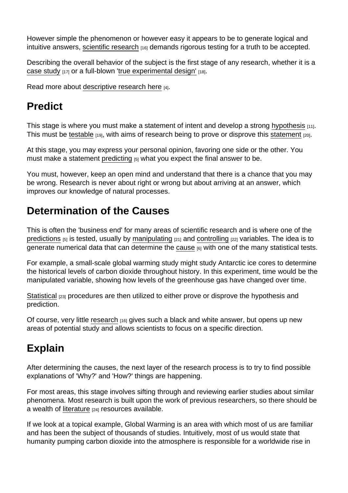However simple the phenomenon or however easy it appears to be to generate logical and intuitive answers, [scientific research](https://staging.explorable.com/what-is-research) <a>[16]</a> demands rigorous testing for a truth to be accepted.

Describing the overall behavior of the subject is the first stage of any research, whether it is a [case study](https://staging.explorable.com/case-study-research-design)  $[17]$  or a full-blown '[true experimental design'](https://staging.explorable.com/true-experimental-design)  $[18]$ .

Read more about [descriptive research here](https://staging.explorable.com/descriptive-research-design) [4].

#### **Predict**

This stage is where you must make a statement of intent and develop a strong [hypothesis](https://staging.explorable.com/hypothesis-testing) [11]. This must be [testable](https://staging.explorable.com/testability) [19], with aims of research being to prove or disprove this [statement](https://staging.explorable.com/research-paper-question) [20].

At this stage, you may express your personal opinion, favoring one side or the other. You must make a statement [predicting](https://staging.explorable.com/prediction-in-research)  $[5]$  what you expect the final answer to be.

You must, however, keep an open mind and understand that there is a chance that you may be wrong. Research is never about right or wrong but about arriving at an answer, which improves our knowledge of natural processes.

# Determination of the Causes

This is often the 'business end' for many areas of scientific research and is where one of the [predictions](https://staging.explorable.com/prediction-in-research) [5] is tested, usually by [manipulating](https://staging.explorable.com/independent-variable) [21] and [controlling](https://staging.explorable.com/controlled-variables) [22] variables. The idea is to generate numerical data that can determine the [cause](https://staging.explorable.com/cause-and-effect) [6] with one of the many statistical tests.

For example, a small-scale global warming study might study Antarctic ice cores to determine the historical levels of carbon dioxide throughout history. In this experiment, time would be the manipulated variable, showing how levels of the greenhouse gas have changed over time.

[Statistical](https://staging.explorable.com/statistics-tutorial) [23] procedures are then utilized to either prove or disprove the hypothesis and prediction.

Of course, very little [research](https://staging.explorable.com/what-is-research)  $_{[16]}$  gives such a black and white answer, but opens up new areas of potential study and allows scientists to focus on a specific direction.

# Explain

After determining the causes, the next layer of the research process is to try to find possible explanations of 'Why?' and 'How?' things are happening.

For most areas, this stage involves sifting through and reviewing earlier studies about similar phenomena. Most research is built upon the work of previous researchers, so there should be a wealth of [literature](https://staging.explorable.com/what-is-a-literature-review) [24] resources available.

If we look at a topical example, Global Warming is an area with which most of us are familiar and has been the subject of thousands of studies. Intuitively, most of us would state that humanity pumping carbon dioxide into the atmosphere is responsible for a worldwide rise in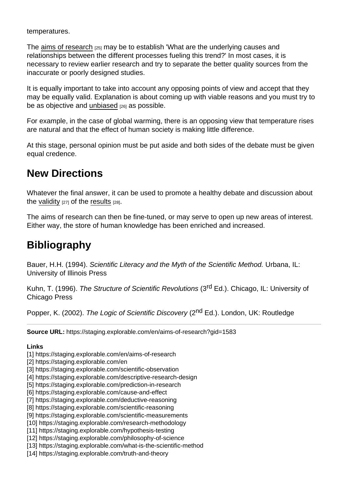temperatures.

The [aims of research](http://en.wikipedia.org/wiki/Scientific_method) [25] may be to establish 'What are the underlying causes and relationships between the different processes fueling this trend?' In most cases, it is necessary to review earlier research and try to separate the better quality sources from the inaccurate or poorly designed studies.

It is equally important to take into account any opposing points of view and accept that they may be equally valid. Explanation is about coming up with viable reasons and you must try to be as objective and [unbiased](https://staging.explorable.com/research-bias) [26] as possible.

For example, in the case of global warming, there is an opposing view that temperature rises are natural and that the effect of human society is making little difference.

At this stage, personal opinion must be put aside and both sides of the debate must be given equal credence.

# New Directions

Whatever the final answer, it can be used to promote a healthy debate and discussion about the [validity](https://staging.explorable.com/types-of-validity)  $[27]$  of the [results](https://staging.explorable.com/statistically-significant-results)  $[28]$ .

The aims of research can then be fine-tuned, or may serve to open up new areas of interest. Either way, the store of human knowledge has been enriched and increased.

# **Bibliography**

Bauer, H.H. (1994). Scientific Literacy and the Myth of the Scientific Method. Urbana, IL: University of Illinois Press

Kuhn, T. (1996). The Structure of Scientific Revolutions (3<sup>rd</sup> Ed.). Chicago, IL: University of Chicago Press

Popper, K. (2002). The Logic of Scientific Discovery (2<sup>nd</sup> Ed.). London, UK: Routledge

Source URL: https://staging.explorable.com/en/aims-of-research?gid=1583

Links

[1] https://staging.explorable.com/en/aims-of-research

[2] https://staging.explorable.com/en

- [3] https://staging.explorable.com/scientific-observation
- [4] https://staging.explorable.com/descriptive-research-design
- [5] https://staging.explorable.com/prediction-in-research
- [6] https://staging.explorable.com/cause-and-effect
- [7] https://staging.explorable.com/deductive-reasoning
- [8] https://staging.explorable.com/scientific-reasoning
- [9] https://staging.explorable.com/scientific-measurements
- [10] https://staging.explorable.com/research-methodology
- [11] https://staging.explorable.com/hypothesis-testing
- [12] https://staging.explorable.com/philosophy-of-science
- [13] https://staging.explorable.com/what-is-the-scientific-method
- [14] https://staging.explorable.com/truth-and-theory